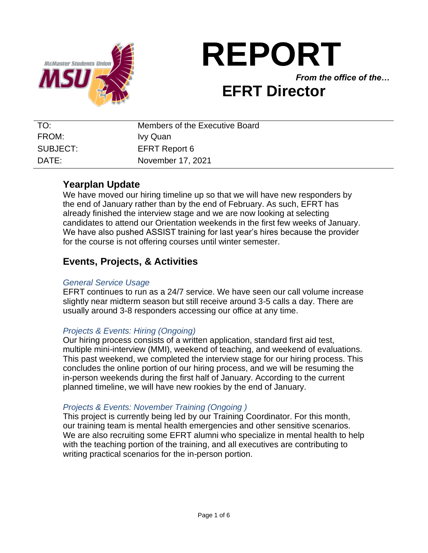

# **REPORT** *From the office of the…* **EFRT Director**

| TO:      | Members of the Executive Board |
|----------|--------------------------------|
| FROM:    | Ivy Quan                       |
| SUBJECT: | <b>EFRT Report 6</b>           |
| DATF:    | November 17, 2021              |

# **Yearplan Update**

We have moved our hiring timeline up so that we will have new responders by the end of January rather than by the end of February. As such, EFRT has already finished the interview stage and we are now looking at selecting candidates to attend our Orientation weekends in the first few weeks of January. We have also pushed ASSIST training for last year's hires because the provider for the course is not offering courses until winter semester.

# **Events, Projects, & Activities**

#### *General Service Usage*

EFRT continues to run as a 24/7 service. We have seen our call volume increase slightly near midterm season but still receive around 3-5 calls a day. There are usually around 3-8 responders accessing our office at any time.

# *Projects & Events: Hiring (Ongoing)*

Our hiring process consists of a written application, standard first aid test, multiple mini-interview (MMI), weekend of teaching, and weekend of evaluations. This past weekend, we completed the interview stage for our hiring process. This concludes the online portion of our hiring process, and we will be resuming the in-person weekends during the first half of January. According to the current planned timeline, we will have new rookies by the end of January.

# *Projects & Events: November Training (Ongoing )*

This project is currently being led by our Training Coordinator. For this month, our training team is mental health emergencies and other sensitive scenarios. We are also recruiting some EFRT alumni who specialize in mental health to help with the teaching portion of the training, and all executives are contributing to writing practical scenarios for the in-person portion.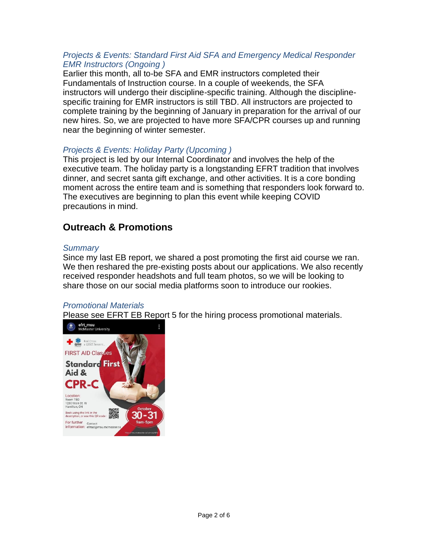#### *Projects & Events: Standard First Aid SFA and Emergency Medical Responder EMR Instructors (Ongoing )*

Earlier this month, all to-be SFA and EMR instructors completed their Fundamentals of Instruction course. In a couple of weekends, the SFA instructors will undergo their discipline-specific training. Although the disciplinespecific training for EMR instructors is still TBD. All instructors are projected to complete training by the beginning of January in preparation for the arrival of our new hires. So, we are projected to have more SFA/CPR courses up and running near the beginning of winter semester.

# *Projects & Events: Holiday Party (Upcoming )*

This project is led by our Internal Coordinator and involves the help of the executive team. The holiday party is a longstanding EFRT tradition that involves dinner, and secret santa gift exchange, and other activities. It is a core bonding moment across the entire team and is something that responders look forward to. The executives are beginning to plan this event while keeping COVID precautions in mind.

# **Outreach & Promotions**

#### *Summary*

Since my last EB report, we shared a post promoting the first aid course we ran. We then reshared the pre-existing posts about our applications. We also recently received responder headshots and full team photos, so we will be looking to share those on our social media platforms soon to introduce our rookies.

#### *Promotional Materials*

Please see EFRT EB Report 5 for the hiring process promotional materials.

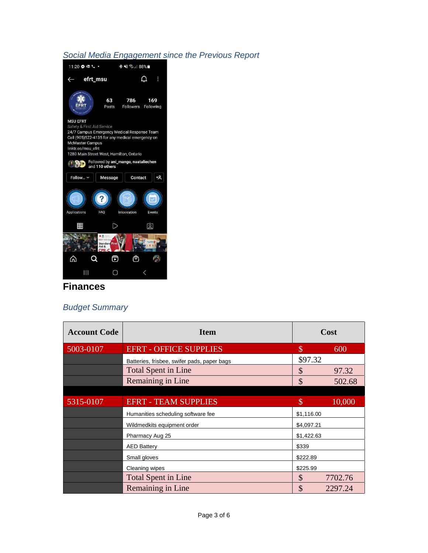### *Social Media Engagement since the Previous Report*



# **Finances**

# *Budget Summary*

| <b>Account Code</b> | <b>Item</b>                                 | Cost          |         |
|---------------------|---------------------------------------------|---------------|---------|
| 5003-0107           | <b>EFRT - OFFICE SUPPLIES</b>               | $\mathcal{S}$ | 600     |
|                     | Batteries, frisbee, swifer pads, paper bags | \$97.32       |         |
|                     | <b>Total Spent in Line</b>                  | $\mathcal{S}$ | 97.32   |
|                     | Remaining in Line                           | \$            | 502.68  |
|                     |                                             |               |         |
| 5315-0107           | <b>EFRT - TEAM SUPPLIES</b>                 | \$            | 10,000  |
|                     | Humanities scheduling software fee          | \$1,116.00    |         |
|                     | Wildmedkits equipment order                 | \$4,097.21    |         |
|                     | Pharmacy Aug 25                             | \$1,422.63    |         |
|                     | <b>AED Battery</b>                          | \$339         |         |
|                     | Small gloves                                | \$222.89      |         |
|                     | Cleaning wipes                              | \$225.99      |         |
|                     | <b>Total Spent in Line</b>                  | $\mathcal{S}$ | 7702.76 |
|                     | Remaining in Line                           | \$            | 2297.24 |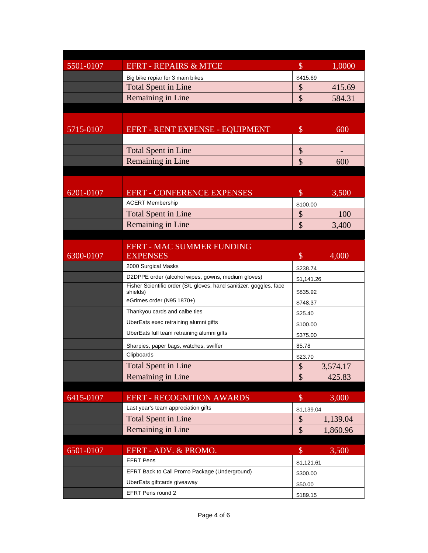| 5501-0107 | <b>EFRT - REPAIRS &amp; MTCE</b>                                                                                         | $\boldsymbol{\mathcal{S}}$ | 1,0000                 |  |
|-----------|--------------------------------------------------------------------------------------------------------------------------|----------------------------|------------------------|--|
|           | Big bike repiar for 3 main bikes                                                                                         | \$415.69                   |                        |  |
|           | <b>Total Spent in Line</b>                                                                                               | $\boldsymbol{\mathsf{\$}}$ | 415.69                 |  |
|           | Remaining in Line                                                                                                        | $\overline{\mathbb{S}}$    | 584.31                 |  |
|           |                                                                                                                          |                            |                        |  |
| 5715-0107 | EFRT - RENT EXPENSE - EQUIPMENT                                                                                          | $\mathcal{S}$              | 600                    |  |
|           |                                                                                                                          |                            |                        |  |
|           | <b>Total Spent in Line</b>                                                                                               | \$                         |                        |  |
|           | Remaining in Line                                                                                                        | $\mathcal{S}$              | 600                    |  |
|           |                                                                                                                          |                            |                        |  |
|           |                                                                                                                          |                            |                        |  |
| 6201-0107 | <b>EFRT - CONFERENCE EXPENSES</b>                                                                                        | $\$\$                      | 3,500                  |  |
|           | <b>ACERT Membership</b>                                                                                                  | \$100.00                   |                        |  |
|           | <b>Total Spent in Line</b>                                                                                               | $\boldsymbol{\mathsf{S}}$  | 100                    |  |
|           | Remaining in Line                                                                                                        | \$                         | 3,400                  |  |
|           |                                                                                                                          |                            |                        |  |
|           | <b>EFRT - MAC SUMMER FUNDING</b>                                                                                         |                            |                        |  |
| 6300-0107 | <b>EXPENSES</b>                                                                                                          | $\mathcal{S}$              | 4,000                  |  |
|           | 2000 Surgical Masks                                                                                                      | \$238.74                   |                        |  |
|           | D2DPPE order (alcohol wipes, gowns, medium gloves)<br>Fisher Scientific order (S/L gloves, hand sanitizer, goggles, face |                            | \$1,141.26<br>\$835.92 |  |
|           | shields)                                                                                                                 |                            |                        |  |
|           | eGrimes order (N95 1870+)                                                                                                | \$748.37                   |                        |  |
|           | Thankyou cards and calbe ties                                                                                            | \$25.40                    |                        |  |
|           | UberEats exec retraining alumni gifts                                                                                    |                            | \$100.00               |  |
|           | UberEats full team retraining alumni gifts                                                                               | \$375.00                   |                        |  |
|           | Sharpies, paper bags, watches, swiffer                                                                                   |                            |                        |  |
|           | Clipboards                                                                                                               | \$23.70                    |                        |  |
|           | <b>Total Spent in Line</b>                                                                                               | $\boldsymbol{\$}$          | 3,574.17               |  |
|           | Remaining in Line                                                                                                        | \$                         | 425.83                 |  |
|           |                                                                                                                          |                            |                        |  |
| 6415-0107 | <b>EFRT - RECOGNITION AWARDS</b><br>Last year's team appreciation gifts                                                  | $\$\$                      | 3,000                  |  |
|           |                                                                                                                          | \$1,139.04                 |                        |  |
|           | <b>Total Spent in Line</b>                                                                                               | \$                         | 1,139.04               |  |
|           | Remaining in Line                                                                                                        | $\mathcal{S}$              | 1,860.96               |  |
| 6501-0107 | EFRT - ADV. & PROMO.                                                                                                     | $\$\$                      | 3,500                  |  |
|           | <b>EFRT Pens</b>                                                                                                         |                            |                        |  |
|           | EFRT Back to Call Promo Package (Underground)                                                                            | \$1,121.61<br>\$300.00     |                        |  |
|           | UberEats giftcards giveaway                                                                                              | \$50.00                    |                        |  |
|           | EFRT Pens round 2                                                                                                        | \$189.15                   |                        |  |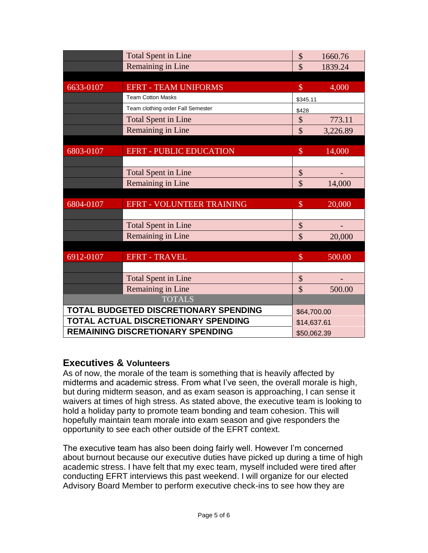|                                       | <b>Total Spent in Line</b>        | \$                      | 1660.76  |
|---------------------------------------|-----------------------------------|-------------------------|----------|
|                                       | Remaining in Line                 | \$                      | 1839.24  |
|                                       |                                   |                         |          |
| 6633-0107                             | <b>EFRT - TEAM UNIFORMS</b>       | $\$\$                   | 4,000    |
|                                       | <b>Team Cotton Masks</b>          | \$345.11                |          |
|                                       | Team clothing order Fall Semester | \$428                   |          |
|                                       | <b>Total Spent in Line</b>        | \$                      | 773.11   |
|                                       | Remaining in Line                 | $\mathcal{S}$           | 3,226.89 |
|                                       |                                   |                         |          |
| 6803-0107                             | <b>EFRT - PUBLIC EDUCATION</b>    | $\mathcal{S}$           | 14,000   |
|                                       |                                   |                         |          |
|                                       | <b>Total Spent in Line</b>        | \$                      |          |
|                                       | Remaining in Line                 | $\overline{\mathbb{S}}$ | 14,000   |
|                                       |                                   |                         |          |
| 6804-0107                             | <b>EFRT - VOLUNTEER TRAINING</b>  | $\mathcal{S}$           | 20,000   |
|                                       |                                   |                         |          |
|                                       | <b>Total Spent in Line</b>        | \$                      |          |
|                                       | Remaining in Line                 | \$                      | 20,000   |
|                                       |                                   |                         |          |
| 6912-0107                             | <b>EFRT - TRAVEL</b>              | $\$\$                   | 500.00   |
|                                       |                                   |                         |          |
|                                       | <b>Total Spent in Line</b>        | \$                      |          |
|                                       | Remaining in Line                 | \$                      | 500.00   |
|                                       | <b>TOTALS</b>                     |                         |          |
| TOTAL BUDGETED DISCRETIONARY SPENDING |                                   | \$64,700.00             |          |
| TOTAL ACTUAL DISCRETIONARY SPENDING   |                                   | \$14,637.61             |          |
| REMAINING DISCRETIONARY SPENDING      |                                   | \$50,062.39             |          |

# **Executives & Volunteers**

As of now, the morale of the team is something that is heavily affected by midterms and academic stress. From what I've seen, the overall morale is high, but during midterm season, and as exam season is approaching, I can sense it waivers at times of high stress. As stated above, the executive team is looking to hold a holiday party to promote team bonding and team cohesion. This will hopefully maintain team morale into exam season and give responders the opportunity to see each other outside of the EFRT context.

The executive team has also been doing fairly well. However I'm concerned about burnout because our executive duties have picked up during a time of high academic stress. I have felt that my exec team, myself included were tired after conducting EFRT interviews this past weekend. I will organize for our elected Advisory Board Member to perform executive check-ins to see how they are